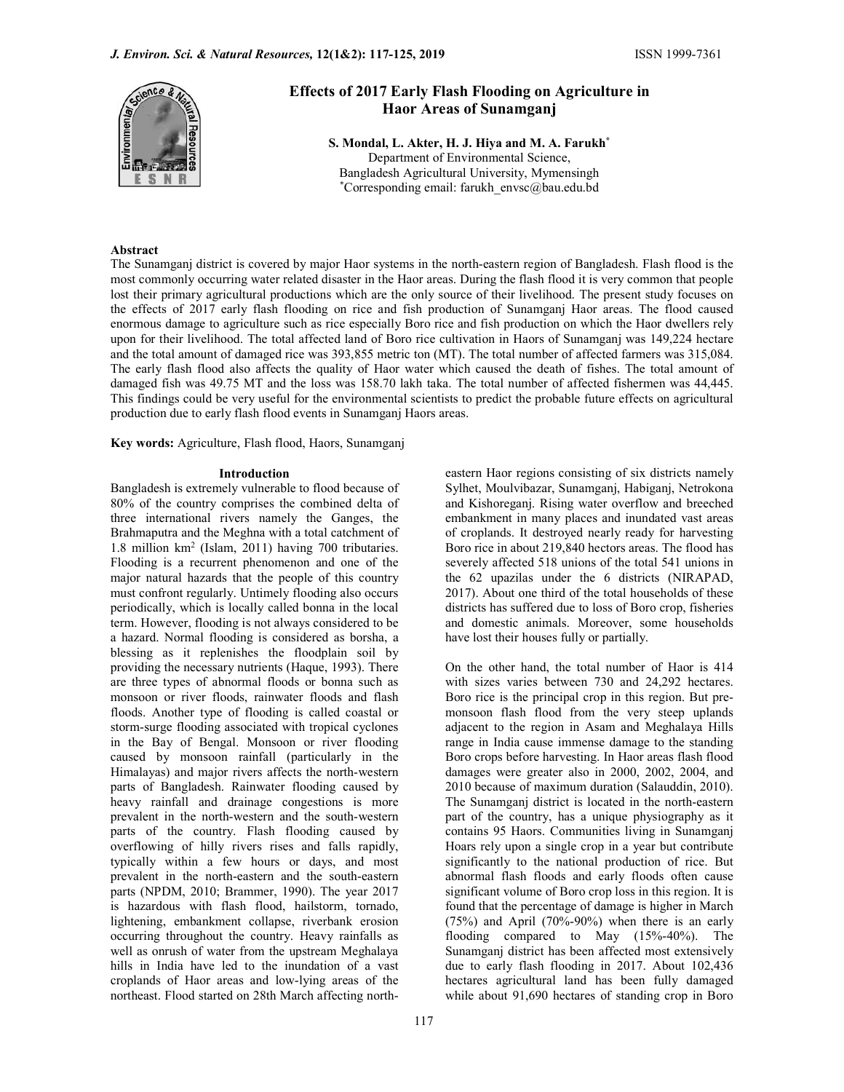

# Effects of 2017 Early Flash Flooding on Agriculture in Haor Areas of Sunamganj

S. Mondal, L. Akter, H. J. Hiya and M. A. Farukh\* Department of Environmental Science, Bangladesh Agricultural University, Mymensingh \*Corresponding email: farukh\_envsc@bau.edu.bd

# Abstract

The Sunamganj district is covered by major Haor systems in the north-eastern region of Bangladesh. Flash flood is the most commonly occurring water related disaster in the Haor areas. During the flash flood it is very common that people lost their primary agricultural productions which are the only source of their livelihood. The present study focuses on the effects of 2017 early flash flooding on rice and fish production of Sunamganj Haor areas. The flood caused enormous damage to agriculture such as rice especially Boro rice and fish production on which the Haor dwellers rely upon for their livelihood. The total affected land of Boro rice cultivation in Haors of Sunamganj was 149,224 hectare and the total amount of damaged rice was 393,855 metric ton (MT). The total number of affected farmers was 315,084. The early flash flood also affects the quality of Haor water which caused the death of fishes. The total amount of damaged fish was 49.75 MT and the loss was 158.70 lakh taka. The total number of affected fishermen was 44,445. This findings could be very useful for the environmental scientists to predict the probable future effects on agricultural production due to early flash flood events in Sunamganj Haors areas.

Key words: Agriculture, Flash flood, Haors, Sunamganj

Bangladesh is extremely vulnerable to flood because of 80% of the country comprises the combined delta of three international rivers namely the Ganges, the Brahmaputra and the Meghna with a total catchment of 1.8 million km2 (Islam, 2011) having 700 tributaries. Flooding is a recurrent phenomenon and one of the major natural hazards that the people of this country must confront regularly. Untimely flooding also occurs periodically, which is locally called bonna in the local term. However, flooding is not always considered to be a hazard. Normal flooding is considered as borsha, a blessing as it replenishes the floodplain soil by providing the necessary nutrients (Haque, 1993). There are three types of abnormal floods or bonna such as monsoon or river floods, rainwater floods and flash floods. Another type of flooding is called coastal or storm-surge flooding associated with tropical cyclones in the Bay of Bengal. Monsoon or river flooding caused by monsoon rainfall (particularly in the Himalayas) and major rivers affects the north-western parts of Bangladesh. Rainwater flooding caused by heavy rainfall and drainage congestions is more prevalent in the north-western and the south-western parts of the country. Flash flooding caused by overflowing of hilly rivers rises and falls rapidly, typically within a few hours or days, and most prevalent in the north-eastern and the south-eastern parts (NPDM, 2010; Brammer, 1990). The year 2017 is hazardous with flash flood, hailstorm, tornado, lightening, embankment collapse, riverbank erosion occurring throughout the country. Heavy rainfalls as well as onrush of water from the upstream Meghalaya hills in India have led to the inundation of a vast croplands of Haor areas and low-lying areas of the northeast. Flood started on 28th March affecting north-

**Introduction eastern Haor regions consisting of six districts namely Introduction** Sylhet, Moulvibazar, Sunamganj, Habiganj, Netrokona and Kishoreganj. Rising water overflow and breeched embankment in many places and inundated vast areas of croplands. It destroyed nearly ready for harvesting Boro rice in about 219,840 hectors areas. The flood has severely affected 518 unions of the total 541 unions in the 62 upazilas under the 6 districts (NIRAPAD, 2017). About one third of the total households of these districts has suffered due to loss of Boro crop, fisheries and domestic animals. Moreover, some households have lost their houses fully or partially.

> On the other hand, the total number of Haor is 414 with sizes varies between 730 and 24,292 hectares. Boro rice is the principal crop in this region. But premonsoon flash flood from the very steep uplands adjacent to the region in Asam and Meghalaya Hills range in India cause immense damage to the standing Boro crops before harvesting. In Haor areas flash flood damages were greater also in 2000, 2002, 2004, and 2010 because of maximum duration (Salauddin, 2010). The Sunamganj district is located in the north-eastern part of the country, has a unique physiography as it contains 95 Haors. Communities living in Sunamganj Hoars rely upon a single crop in a year but contribute significantly to the national production of rice. But abnormal flash floods and early floods often cause significant volume of Boro crop loss in this region. It is found that the percentage of damage is higher in March (75%) and April (70%-90%) when there is an early flooding compared to May (15%-40%). The Sunamganj district has been affected most extensively due to early flash flooding in 2017. About 102,436 hectares agricultural land has been fully damaged while about 91,690 hectares of standing crop in Boro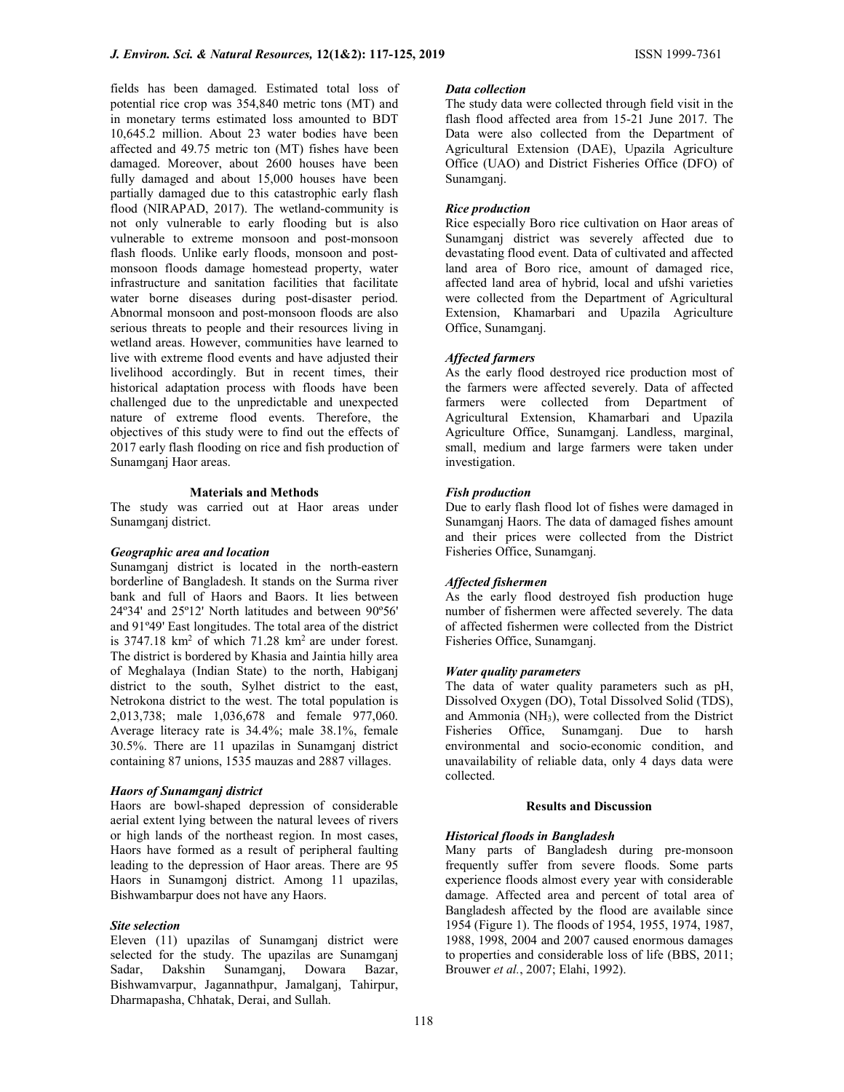fields has been damaged. Estimated total loss of potential rice crop was 354,840 metric tons (MT) and in monetary terms estimated loss amounted to BDT 10,645.2 million. About 23 water bodies have been affected and 49.75 metric ton (MT) fishes have been damaged. Moreover, about 2600 houses have been fully damaged and about 15,000 houses have been partially damaged due to this catastrophic early flash flood (NIRAPAD, 2017). The wetland-community is not only vulnerable to early flooding but is also vulnerable to extreme monsoon and post-monsoon flash floods. Unlike early floods, monsoon and postmonsoon floods damage homestead property, water infrastructure and sanitation facilities that facilitate water borne diseases during post-disaster period. Abnormal monsoon and post-monsoon floods are also serious threats to people and their resources living in wetland areas. However, communities have learned to live with extreme flood events and have adjusted their livelihood accordingly. But in recent times, their historical adaptation process with floods have been challenged due to the unpredictable and unexpected nature of extreme flood events. Therefore, the objectives of this study were to find out the effects of 2017 early flash flooding on rice and fish production of Sunamganj Haor areas.

# Materials and Methods

The study was carried out at Haor areas under Sunamganj district.

#### Geographic area and location

Sunamganj district is located in the north-eastern borderline of Bangladesh. It stands on the Surma river bank and full of Haors and Baors. It lies between 24º34' and 25º12' North latitudes and between 90º56' and 91º49' East longitudes. The total area of the district is  $3747.18 \text{ km}^2$  of which  $71.28 \text{ km}^2$  are under forest. The district is bordered by Khasia and Jaintia hilly area of Meghalaya (Indian State) to the north, Habiganj district to the south, Sylhet district to the east, Netrokona district to the west. The total population is 2,013,738; male 1,036,678 and female 977,060. Average literacy rate is 34.4%; male 38.1%, female 30.5%. There are 11 upazilas in Sunamganj district containing 87 unions, 1535 mauzas and 2887 villages.

#### Haors of Sunamganj district

Haors are bowl-shaped depression of considerable aerial extent lying between the natural levees of rivers or high lands of the northeast region. In most cases, Haors have formed as a result of peripheral faulting leading to the depression of Haor areas. There are 95 Haors in Sunamgonj district. Among 11 upazilas, Bishwambarpur does not have any Haors.

#### Site selection

Eleven (11) upazilas of Sunamganj district were selected for the study. The upazilas are Sunamganj Sadar, Dakshin Sunamganj, Dowara Bazar, Bishwamvarpur, Jagannathpur, Jamalganj, Tahirpur, Dharmapasha, Chhatak, Derai, and Sullah.

#### Data collection

The study data were collected through field visit in the flash flood affected area from 15-21 June 2017. The Data were also collected from the Department of Agricultural Extension (DAE), Upazila Agriculture Office (UAO) and District Fisheries Office (DFO) of Sunamganj.

## Rice production

Rice especially Boro rice cultivation on Haor areas of Sunamganj district was severely affected due to devastating flood event. Data of cultivated and affected land area of Boro rice, amount of damaged rice, affected land area of hybrid, local and ufshi varieties were collected from the Department of Agricultural Extension, Khamarbari and Upazila Agriculture Office, Sunamganj.

# Affected farmers

As the early flood destroyed rice production most of the farmers were affected severely. Data of affected farmers were collected from Department of Agricultural Extension, Khamarbari and Upazila Agriculture Office, Sunamganj. Landless, marginal, small, medium and large farmers were taken under investigation.

#### Fish production

Due to early flash flood lot of fishes were damaged in Sunamganj Haors. The data of damaged fishes amount and their prices were collected from the District Fisheries Office, Sunamganj.

## Affected fishermen

As the early flood destroyed fish production huge number of fishermen were affected severely. The data of affected fishermen were collected from the District Fisheries Office, Sunamganj.

#### Water quality parameters

The data of water quality parameters such as pH, Dissolved Oxygen (DO), Total Dissolved Solid (TDS), and Ammonia  $(NH_3)$ , were collected from the District Fisheries Office, Sunamganj. Due to harsh environmental and socio-economic condition, and unavailability of reliable data, only 4 days data were collected.

## Results and Discussion

#### Historical floods in Bangladesh

Many parts of Bangladesh during pre-monsoon frequently suffer from severe floods. Some parts experience floods almost every year with considerable damage. Affected area and percent of total area of Bangladesh affected by the flood are available since 1954 (Figure 1). The floods of 1954, 1955, 1974, 1987, 1988, 1998, 2004 and 2007 caused enormous damages to properties and considerable loss of life (BBS, 2011; Brouwer et al., 2007; Elahi, 1992).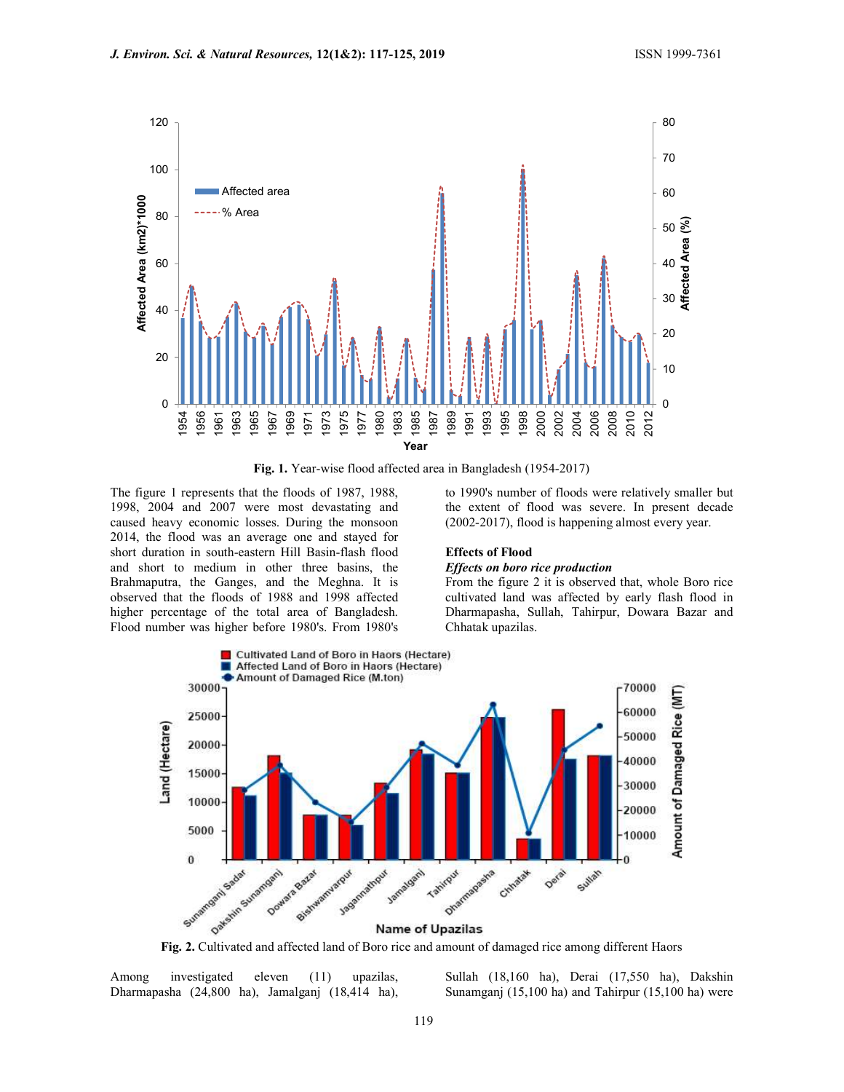

Fig. 1. Year-wise flood affected area in Bangladesh (1954-2017)

The figure 1 represents that the floods of 1987, 1988, 1998, 2004 and 2007 were most devastating and caused heavy economic losses. During the monsoon 2014, the flood was an average one and stayed for short duration in south-eastern Hill Basin-flash flood and short to medium in other three basins, the Brahmaputra, the Ganges, and the Meghna. It is observed that the floods of 1988 and 1998 affected higher percentage of the total area of Bangladesh. Flood number was higher before 1980's. From 1980's

to 1990's number of floods were relatively smaller but the extent of flood was severe. In present decade (2002-2017), flood is happening almost every year.

#### Effects of Flood

#### Effects on boro rice production

From the figure 2 it is observed that, whole Boro rice cultivated land was affected by early flash flood in Dharmapasha, Sullah, Tahirpur, Dowara Bazar and Chhatak upazilas.



Among investigated eleven (11) upazilas, Dharmapasha (24,800 ha), Jamalganj (18,414 ha), Sullah (18,160 ha), Derai (17,550 ha), Dakshin Sunamganj (15,100 ha) and Tahirpur (15,100 ha) were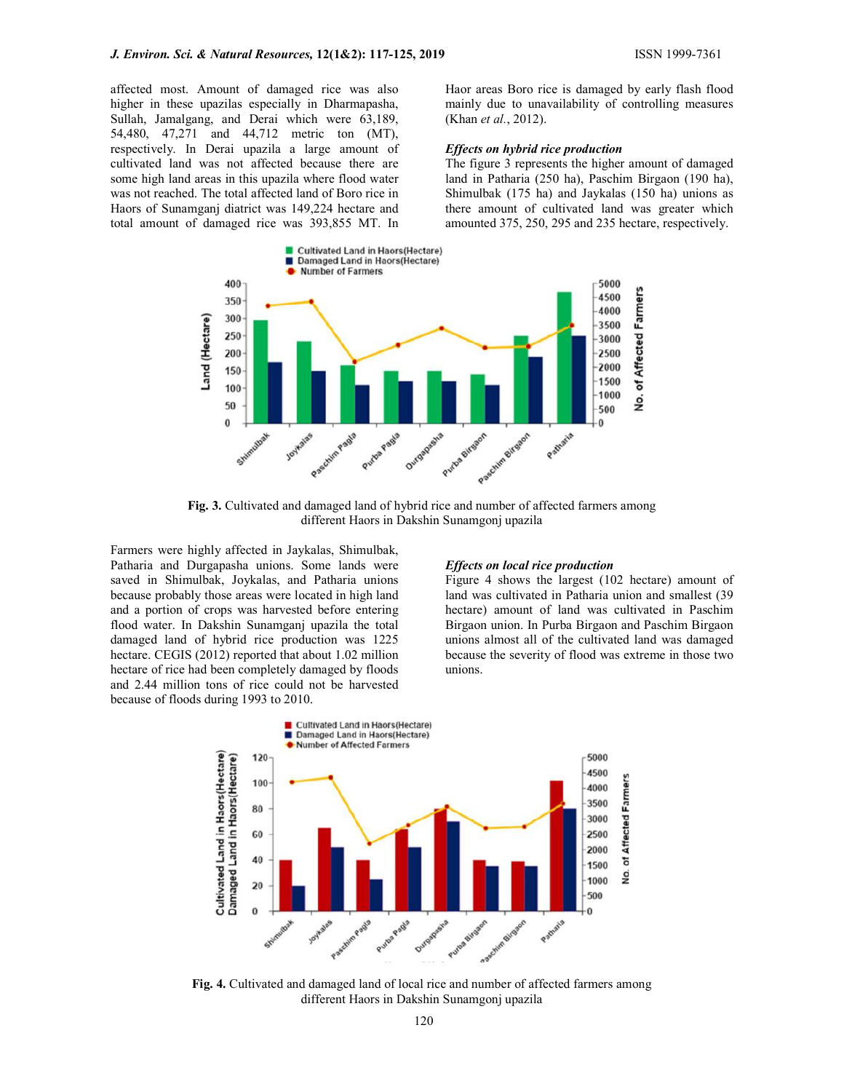affected most. Amount of damaged rice was also higher in these upazilas especially in Dharmapasha, Sullah, Jamalgang, and Derai which were 63,189, 54,480, 47,271 and 44,712 metric ton (MT), respectively. In Derai upazila a large amount of cultivated land was not affected because there are some high land areas in this upazila where flood water was not reached. The total affected land of Boro rice in Haors of Sunamganj diatrict was 149,224 hectare and total amount of damaged rice was 393,855 MT. In Haor areas Boro rice is damaged by early flash flood mainly due to unavailability of controlling measures (Khan et al., 2012).

#### Effects on hybrid rice production

The figure 3 represents the higher amount of damaged land in Patharia (250 ha), Paschim Birgaon (190 ha), Shimulbak (175 ha) and Jaykalas (150 ha) unions as there amount of cultivated land was greater which amounted 375, 250, 295 and 235 hectare, respectively.



Fig. 3. Cultivated and damaged land of hybrid rice and number of affected farmers among different Haors in Dakshin Sunamgonj upazila

Farmers were highly affected in Jaykalas, Shimulbak, Patharia and Durgapasha unions. Some lands were saved in Shimulbak, Joykalas, and Patharia unions because probably those areas were located in high land and a portion of crops was harvested before entering flood water. In Dakshin Sunamganj upazila the total damaged land of hybrid rice production was 1225 hectare. CEGIS (2012) reported that about 1.02 million hectare of rice had been completely damaged by floods and 2.44 million tons of rice could not be harvested because of floods during 1993 to 2010.

#### Effects on local rice production

Figure 4 shows the largest (102 hectare) amount of land was cultivated in Patharia union and smallest (39 hectare) amount of land was cultivated in Paschim Birgaon union. In Purba Birgaon and Paschim Birgaon unions almost all of the cultivated land was damaged because the severity of flood was extreme in those two unions.



Fig. 4. Cultivated and damaged land of local rice and number of affected farmers among different Haors in Dakshin Sunamgonj upazila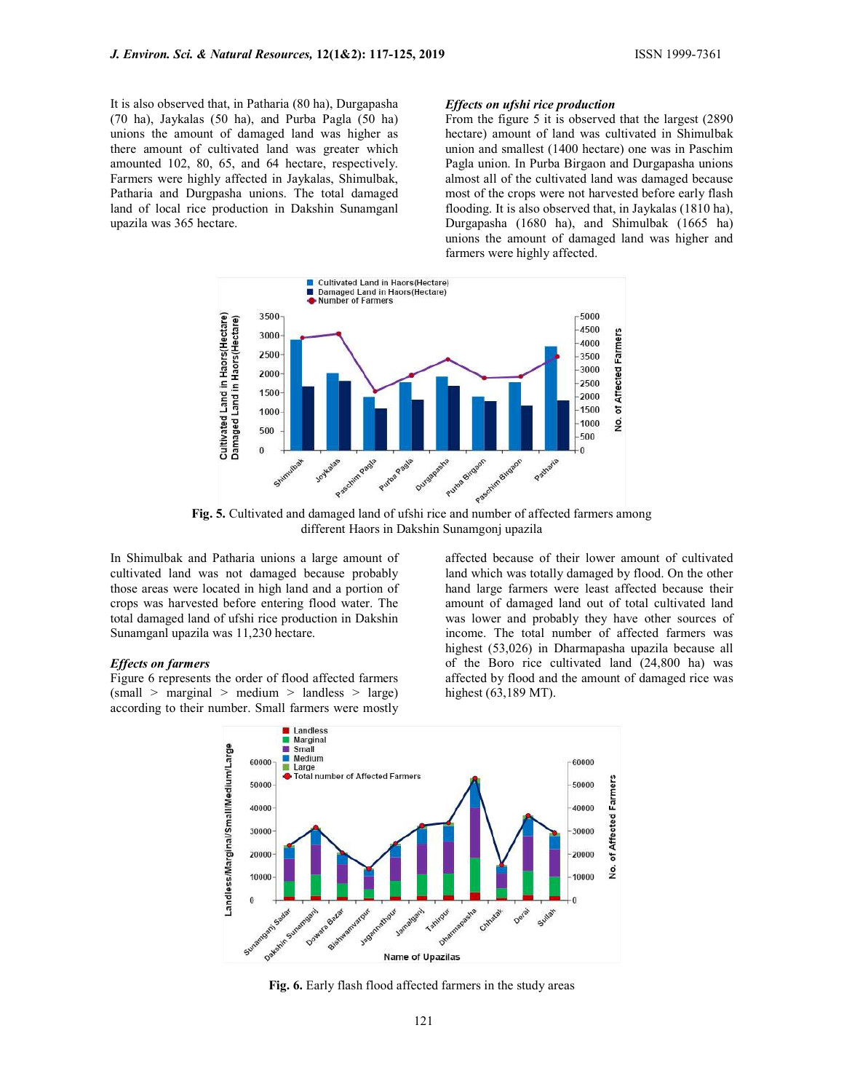It is also observed that, in Patharia (80 ha), Durgapasha (70 ha), Jaykalas (50 ha), and Purba Pagla (50 ha) unions the amount of damaged land was higher as there amount of cultivated land was greater which amounted 102, 80, 65, and 64 hectare, respectively. Farmers were highly affected in Jaykalas, Shimulbak, Patharia and Durgpasha unions. The total damaged land of local rice production in Dakshin Sunamganl upazila was 365 hectare.

## Effects on ufshi rice production

From the figure 5 it is observed that the largest (2890 hectare) amount of land was cultivated in Shimulbak union and smallest (1400 hectare) one was in Paschim Pagla union. In Purba Birgaon and Durgapasha unions almost all of the cultivated land was damaged because most of the crops were not harvested before early flash flooding. It is also observed that, in Jaykalas (1810 ha), Durgapasha (1680 ha), and Shimulbak (1665 ha) unions the amount of damaged land was higher and farmers were highly affected.



different Haors in Dakshin Sunamgonj upazila

In Shimulbak and Patharia unions a large amount of cultivated land was not damaged because probably those areas were located in high land and a portion of crops was harvested before entering flood water. The total damaged land of ufshi rice production in Dakshin Sunamganl upazila was 11,230 hectare.

#### Effects on farmers

Figure 6 represents the order of flood affected farmers (small > marginal > medium > landless > large) according to their number. Small farmers were mostly affected because of their lower amount of cultivated land which was totally damaged by flood. On the other hand large farmers were least affected because their amount of damaged land out of total cultivated land was lower and probably they have other sources of income. The total number of affected farmers was highest (53,026) in Dharmapasha upazila because all of the Boro rice cultivated land (24,800 ha) was affected by flood and the amount of damaged rice was highest (63,189 MT).



Fig. 6. Early flash flood affected farmers in the study areas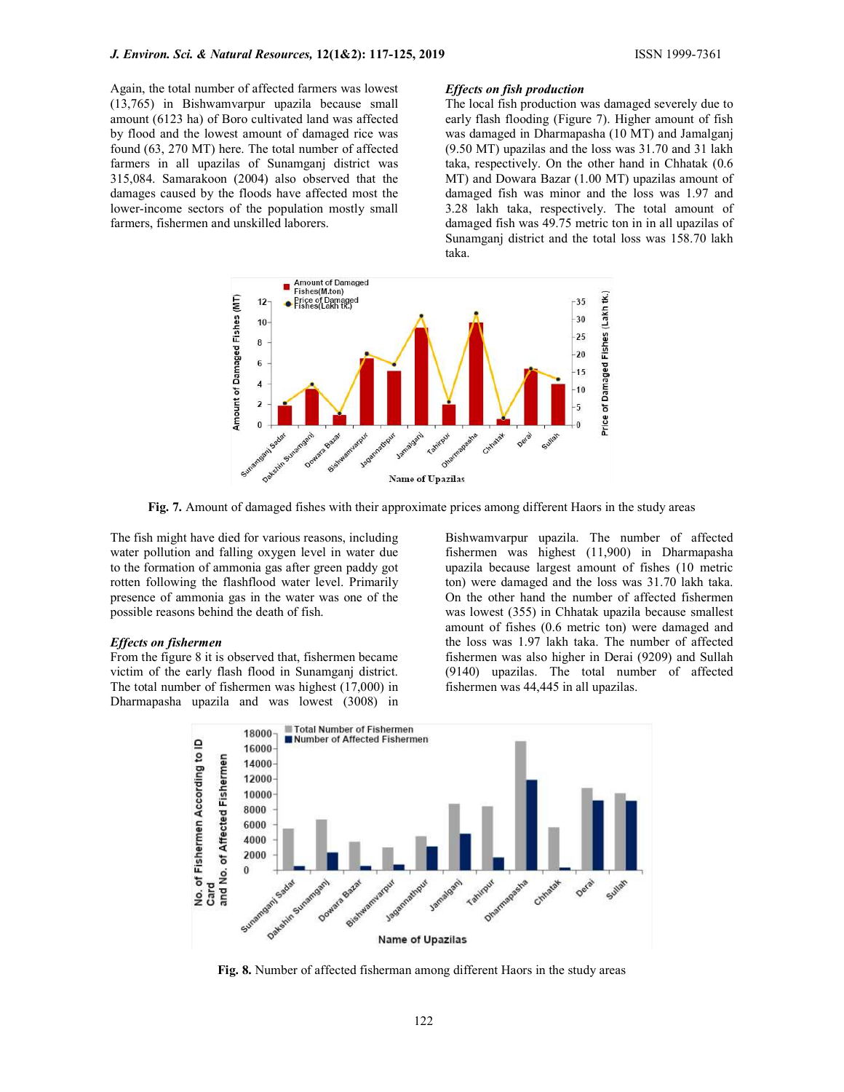Again, the total number of affected farmers was lowest (13,765) in Bishwamvarpur upazila because small amount (6123 ha) of Boro cultivated land was affected by flood and the lowest amount of damaged rice was found (63, 270 MT) here. The total number of affected farmers in all upazilas of Sunamganj district was 315,084. Samarakoon (2004) also observed that the damages caused by the floods have affected most the lower-income sectors of the population mostly small farmers, fishermen and unskilled laborers.

#### Effects on fish production

The local fish production was damaged severely due to early flash flooding (Figure 7). Higher amount of fish was damaged in Dharmapasha (10 MT) and Jamalganj (9.50 MT) upazilas and the loss was 31.70 and 31 lakh taka, respectively. On the other hand in Chhatak (0.6 MT) and Dowara Bazar (1.00 MT) upazilas amount of damaged fish was minor and the loss was 1.97 and 3.28 lakh taka, respectively. The total amount of damaged fish was 49.75 metric ton in in all upazilas of Sunamganj district and the total loss was 158.70 lakh taka.



Fig. 7. Amount of damaged fishes with their approximate prices among different Haors in the study areas

The fish might have died for various reasons, including water pollution and falling oxygen level in water due to the formation of ammonia gas after green paddy got rotten following the flashflood water level. Primarily presence of ammonia gas in the water was one of the possible reasons behind the death of fish.

#### Effects on fishermen

From the figure 8 it is observed that, fishermen became victim of the early flash flood in Sunamganj district. The total number of fishermen was highest (17,000) in Dharmapasha upazila and was lowest (3008) in

Bishwamvarpur upazila. The number of affected fishermen was highest (11,900) in Dharmapasha upazila because largest amount of fishes (10 metric ton) were damaged and the loss was 31.70 lakh taka. On the other hand the number of affected fishermen was lowest (355) in Chhatak upazila because smallest amount of fishes (0.6 metric ton) were damaged and the loss was 1.97 lakh taka. The number of affected fishermen was also higher in Derai (9209) and Sullah (9140) upazilas. The total number of affected fishermen was 44,445 in all upazilas.



Fig. 8. Number of affected fisherman among different Haors in the study areas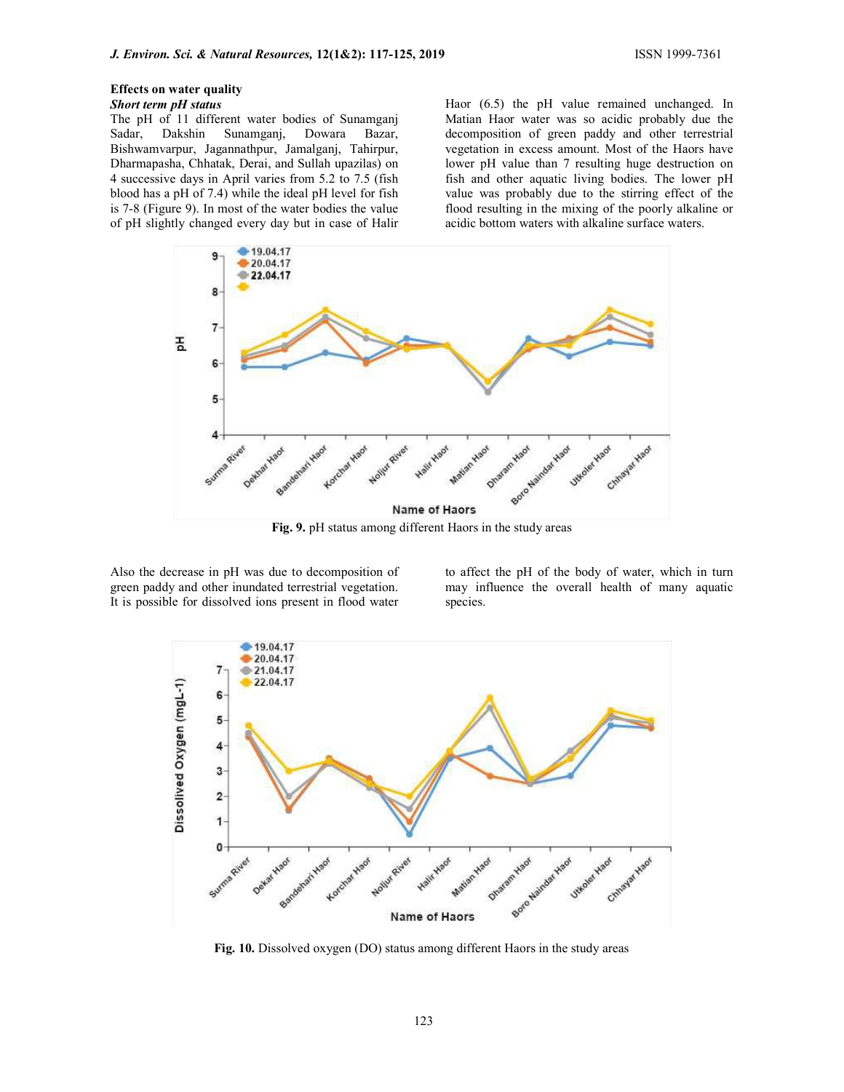# Effects on water quality

# Short term pH status

The pH of 11 different water bodies of Sunamganj Sadar, Dakshin Sunamganj, Dowara Bazar, Bishwamvarpur, Jagannathpur, Jamalganj, Tahirpur, Dharmapasha, Chhatak, Derai, and Sullah upazilas) on 4 successive days in April varies from 5.2 to 7.5 (fish blood has a pH of 7.4) while the ideal pH level for fish is 7-8 (Figure 9). In most of the water bodies the value of pH slightly changed every day but in case of Halir Haor (6.5) the pH value remained unchanged. In Matian Haor water was so acidic probably due the decomposition of green paddy and other terrestrial vegetation in excess amount. Most of the Haors have lower pH value than 7 resulting huge destruction on fish and other aquatic living bodies. The lower pH value was probably due to the stirring effect of the flood resulting in the mixing of the poorly alkaline or acidic bottom waters with alkaline surface waters.



Also the decrease in pH was due to decomposition of green paddy and other inundated terrestrial vegetation. It is possible for dissolved ions present in flood water

to affect the pH of the body of water, which in turn may influence the overall health of many aquatic species.



Fig. 10. Dissolved oxygen (DO) status among different Haors in the study areas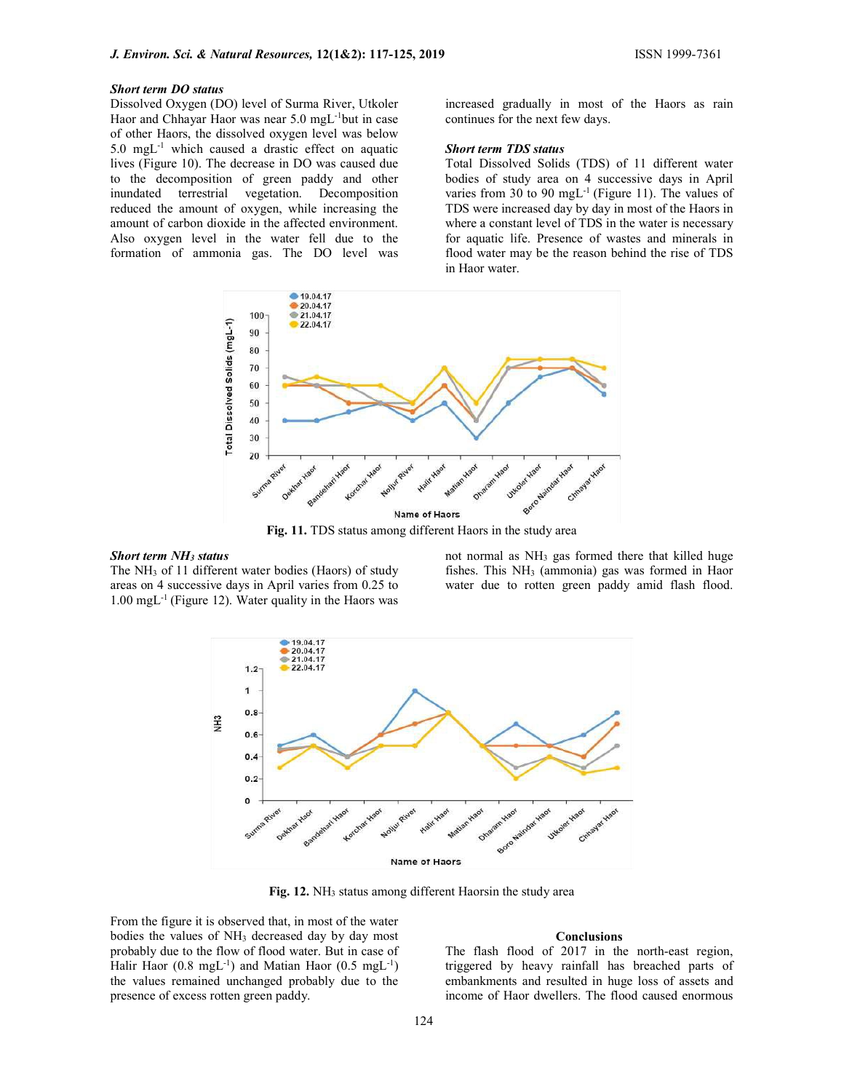## Short term DO status

Dissolved Oxygen (DO) level of Surma River, Utkoler Haor and Chhayar Haor was near 5.0 mgL-1but in case of other Haors, the dissolved oxygen level was below 5.0 mgL-1 which caused a drastic effect on aquatic lives (Figure 10). The decrease in DO was caused due to the decomposition of green paddy and other inundated terrestrial vegetation. Decomposition reduced the amount of oxygen, while increasing the amount of carbon dioxide in the affected environment. Also oxygen level in the water fell due to the formation of ammonia gas. The DO level was

increased gradually in most of the Haors as rain continues for the next few days.

#### Short term TDS status

Total Dissolved Solids (TDS) of 11 different water bodies of study area on 4 successive days in April varies from 30 to 90 mgL<sup>-1</sup> (Figure 11). The values of TDS were increased day by day in most of the Haors in where a constant level of TDS in the water is necessary for aquatic life. Presence of wastes and minerals in flood water may be the reason behind the rise of TDS in Haor water.



#### Short term NH3 status

The NH3 of 11 different water bodies (Haors) of study areas on 4 successive days in April varies from 0.25 to  $1.00 \text{ mgL}^{-1}$  (Figure 12). Water quality in the Haors was

not normal as NH3 gas formed there that killed huge fishes. This  $NH<sub>3</sub>$  (ammonia) gas was formed in Haor water due to rotten green paddy amid flash flood.



Fig. 12. NH<sub>3</sub> status among different Haorsin the study area

From the figure it is observed that, in most of the water bodies the values of NH<sub>3</sub> decreased day by day most probably due to the flow of flood water. But in case of Halir Haor  $(0.8 \text{ mgL}^{-1})$  and Matian Haor  $(0.5 \text{ mgL}^{-1})$ the values remained unchanged probably due to the presence of excess rotten green paddy.

## **Conclusions**

The flash flood of 2017 in the north-east region, triggered by heavy rainfall has breached parts of embankments and resulted in huge loss of assets and income of Haor dwellers. The flood caused enormous